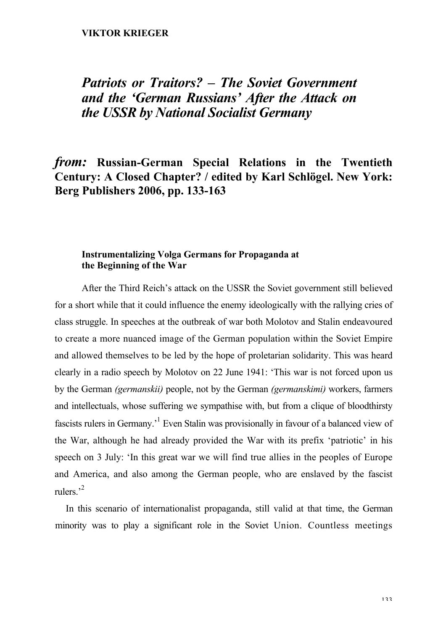#### **VIKTOR KRIEGER**

# *Patriots or Traitors? – The Soviet Government and the 'German Russians' After the Attack on the USSR by National Socialist Germany*

*from:* **Russian-German Special Relations in the Twentieth Century: A Closed Chapter? / edited by Karl Schlögel. New York: Berg Publishers 2006, pp. 133-163**

# **Instrumentalizing Volga Germans for Propaganda at the Beginning of the War**

After the Third Reich's attack on the USSR the Soviet government still believed for a short while that it could influence the enemy ideologically with the rallying cries of class struggle. In speeches at the outbreak of war both Molotov and Stalin endeavoured to create a more nuanced image of the German population within the Soviet Empire and allowed themselves to be led by the hope of proletarian solidarity. This was heard clearly in a radio speech by Molotov on 22 June 1941: 'This war is not forced upon us by the German *(germanskii)* people, not by the German *(germanskimi)* workers, farmers and intellectuals, whose suffering we sympathise with, but from a clique of bloodthirsty fascists rulers in Germany.<sup>1</sup> Even Stalin was provisionally in favour of a balanced view of the War, although he had already provided the War with its prefix 'patriotic' in his speech on 3 July: 'In this great war we will find true allies in the peoples of Europe and America, and also among the German people, who are enslaved by the fascist rulers.<sup>2</sup>

In this scenario of internationalist propaganda, still valid at that time, the German minority was to play a significant role in the Soviet Union. Countless meetings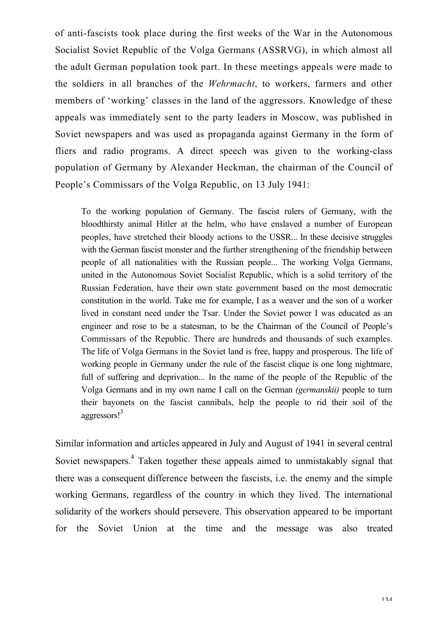of anti-fascists took place during the first weeks of the War in the Autonomous Socialist Soviet Republic of the Volga Germans (ASSRVG), in which almost all the adult German population took part. In these meetings appeals were made to the soldiers in all branches of the *Wehrmacht*, to workers, farmers and other members of 'working' classes in the land of the aggressors. Knowledge of these appeals was immediately sent to the party leaders in Moscow, was published in Soviet newspapers and was used as propaganda against Germany in the form of fliers and radio programs. A direct speech was given to the working-class population of Germany by Alexander Heckman, the chairman of the Council of People's Commissars of the Volga Republic, on 13 July 1941:

To the working population of Germany. The fascist rulers of Germany, with the bloodthirsty animal Hitler at the helm, who have enslaved a number of European peoples, have stretched their bloody actions to the USSR... In these decisive struggles with the German fascist monster and the further strengthening of the friendship between people of all nationalities with the Russian people... The working Volga Germans, united in the Autonomous Soviet Socialist Republic, which is a solid territory of the Russian Federation, have their own state government based on the most democratic constitution in the world. Take me for example, I as a weaver and the son of a worker lived in constant need under the Tsar. Under the Soviet power I was educated as an engineer and rose to be a statesman, to be the Chairman of the Council of People's Commissars of the Republic. There are hundreds and thousands of such examples. The life of Volga Germans in the Soviet land is free, happy and prosperous. The life of working people in Germany under the rule of the fascist clique is one long nightmare, full of suffering and deprivation... In the name of the people of the Republic of the Volga Germans and in my own name I call on the German *(germanskii)* people to turn their bayonets on the fascist cannibals, help the people to rid their soil of the aggressors!<sup>3</sup>

Similar information and articles appeared in July and August of 1941 in several central Soviet newspapers.<sup>4</sup> Taken together these appeals aimed to unmistakably signal that there was a consequent difference between the fascists, i.e. the enemy and the simple working Germans, regardless of the country in which they lived. The international solidarity of the workers should persevere. This observation appeared to be important for the Soviet Union at the time and the message was also treated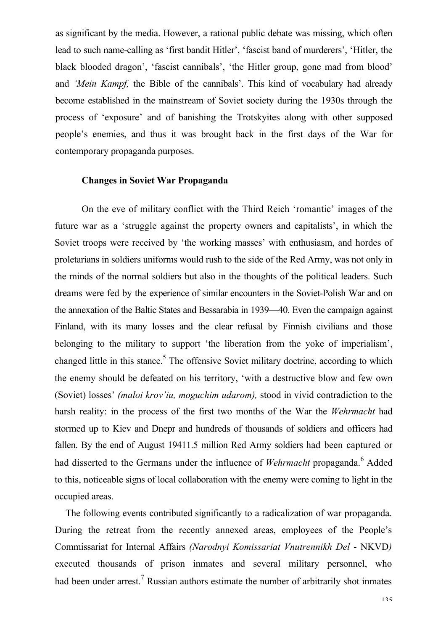as significant by the media. However, a rational public debate was missing, which often lead to such name-calling as 'first bandit Hitler', 'fascist band of murderers', 'Hitler, the black blooded dragon', 'fascist cannibals', 'the Hitler group, gone mad from blood' and *'Mein Kampf,* the Bible of the cannibals'. This kind of vocabulary had already become established in the mainstream of Soviet society during the 1930s through the process of 'exposure' and of banishing the Trotskyites along with other supposed people's enemies, and thus it was brought back in the first days of the War for contemporary propaganda purposes.

# **Changes in Soviet War Propaganda**

On the eve of military conflict with the Third Reich 'romantic' images of the future war as a 'struggle against the property owners and capitalists', in which the Soviet troops were received by 'the working masses' with enthusiasm, and hordes of proletarians in soldiers uniforms would rush to the side of the Red Army, was not only in the minds of the normal soldiers but also in the thoughts of the political leaders. Such dreams were fed by the experience of similar encounters in the Soviet-Polish War and on the annexation of the Baltic States and Bessarabia in 1939—40. Even the campaign against Finland, with its many losses and the clear refusal by Finnish civilians and those belonging to the military to support 'the liberation from the yoke of imperialism', changed little in this stance.<sup>5</sup> The offensive Soviet military doctrine, according to which the enemy should be defeated on his territory, 'with a destructive blow and few own (Soviet) losses' *(maloi krov'iu, moguchim udarom),* stood in vivid contradiction to the harsh reality: in the process of the first two months of the War the *Wehrmacht* had stormed up to Kiev and Dnepr and hundreds of thousands of soldiers and officers had fallen. By the end of August 19411.5 million Red Army soldiers had been captured or had disserted to the Germans under the influence of *Wehrmacht* propaganda.<sup>6</sup> Added to this, noticeable signs of local collaboration with the enemy were coming to light in the occupied areas.

The following events contributed significantly to a radicalization of war propaganda. During the retreat from the recently annexed areas, employees of the People's Commissariat for Internal Affairs *(Narodnyi Komissariat Vnutrennikh Del* - NKVD*)*  executed thousands of prison inmates and several military personnel, who had been under arrest.<sup>7</sup> Russian authors estimate the number of arbitrarily shot inmates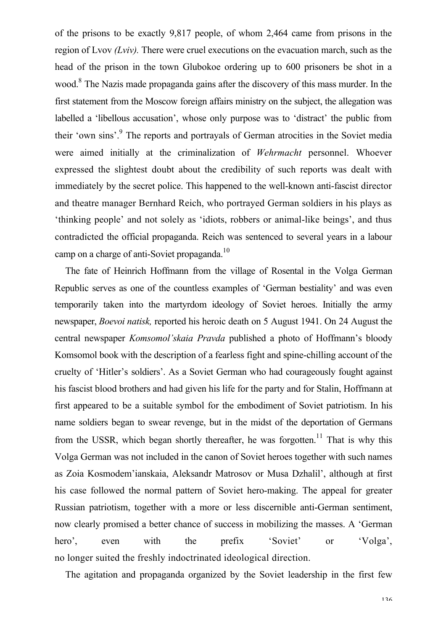of the prisons to be exactly 9,817 people, of whom 2,464 came from prisons in the region of Lvov *(Lviv).* There were cruel executions on the evacuation march, such as the head of the prison in the town Glubokoe ordering up to 600 prisoners be shot in a wood.<sup>8</sup> The Nazis made propaganda gains after the discovery of this mass murder. In the first statement from the Moscow foreign affairs ministry on the subject, the allegation was labelled a 'libellous accusation', whose only purpose was to 'distract' the public from their 'own sins'.<sup>9</sup> The reports and portrayals of German atrocities in the Soviet media were aimed initially at the criminalization of *Wehrmacht* personnel. Whoever expressed the slightest doubt about the credibility of such reports was dealt with immediately by the secret police. This happened to the well-known anti-fascist director and theatre manager Bernhard Reich, who portrayed German soldiers in his plays as 'thinking people' and not solely as 'idiots, robbers or animal-like beings', and thus contradicted the official propaganda. Reich was sentenced to several years in a labour camp on a charge of anti-Soviet propaganda.<sup>10</sup>

The fate of Heinrich Hoffmann from the village of Rosental in the Volga German Republic serves as one of the countless examples of 'German bestiality' and was even temporarily taken into the martyrdom ideology of Soviet heroes. Initially the army newspaper, *Boevoi natisk,* reported his heroic death on 5 August 1941. On 24 August the central newspaper *Komsomol'skaia Pravda* published a photo of Hoffmann's bloody Komsomol book with the description of a fearless fight and spine-chilling account of the cruelty of 'Hitler's soldiers'. As a Soviet German who had courageously fought against his fascist blood brothers and had given his life for the party and for Stalin, Hoffmann at first appeared to be a suitable symbol for the embodiment of Soviet patriotism. In his name soldiers began to swear revenge, but in the midst of the deportation of Germans from the USSR, which began shortly thereafter, he was forgotten.<sup>11</sup> That is why this Volga German was not included in the canon of Soviet heroes together with such names as Zoia Kosmodem'ianskaia, Aleksandr Matrosov or Musa Dzhalil', although at first his case followed the normal pattern of Soviet hero-making. The appeal for greater Russian patriotism, together with a more or less discernible anti-German sentiment, now clearly promised a better chance of success in mobilizing the masses. A 'German hero', even with the prefix 'Soviet' or 'Volga', no longer suited the freshly indoctrinated ideological direction.

The agitation and propaganda organized by the Soviet leadership in the first few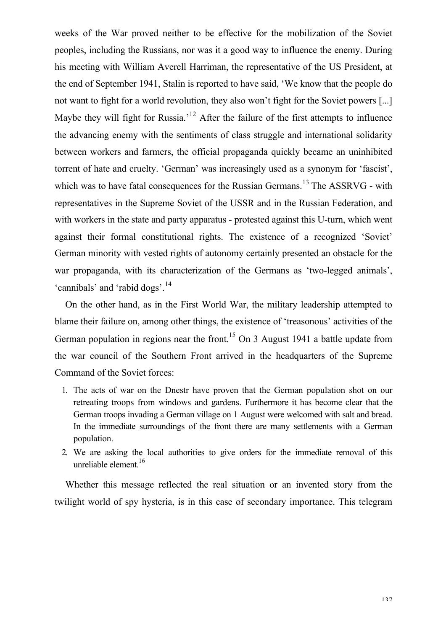weeks of the War proved neither to be effective for the mobilization of the Soviet peoples, including the Russians, nor was it a good way to influence the enemy. During his meeting with William Averell Harriman, the representative of the US President, at the end of September 1941, Stalin is reported to have said, 'We know that the people do not want to fight for a world revolution, they also won't fight for the Soviet powers [...] Maybe they will fight for Russia.<sup> $12$ </sup> After the failure of the first attempts to influence the advancing enemy with the sentiments of class struggle and international solidarity between workers and farmers, the official propaganda quickly became an uninhibited torrent of hate and cruelty. 'German' was increasingly used as a synonym for 'fascist', which was to have fatal consequences for the Russian Germans.<sup>13</sup> The ASSRVG - with representatives in the Supreme Soviet of the USSR and in the Russian Federation, and with workers in the state and party apparatus - protested against this U-turn, which went against their formal constitutional rights. The existence of a recognized 'Soviet' German minority with vested rights of autonomy certainly presented an obstacle for the war propaganda, with its characterization of the Germans as 'two-legged animals', 'cannibals' and 'rabid dogs'.<sup>14</sup>

On the other hand, as in the First World War, the military leadership attempted to blame their failure on, among other things, the existence of 'treasonous' activities of the German population in regions near the front.<sup>15</sup> On 3 August 1941 a battle update from the war council of the Southern Front arrived in the headquarters of the Supreme Command of the Soviet forces:

- 1. The acts of war on the Dnestr have proven that the German population shot on our retreating troops from windows and gardens. Furthermore it has become clear that the German troops invading a German village on 1 August were welcomed with salt and bread. In the immediate surroundings of the front there are many settlements with a German population.
- 2. We are asking the local authorities to give orders for the immediate removal of this unreliable element.16

Whether this message reflected the real situation or an invented story from the twilight world of spy hysteria, is in this case of secondary importance. This telegram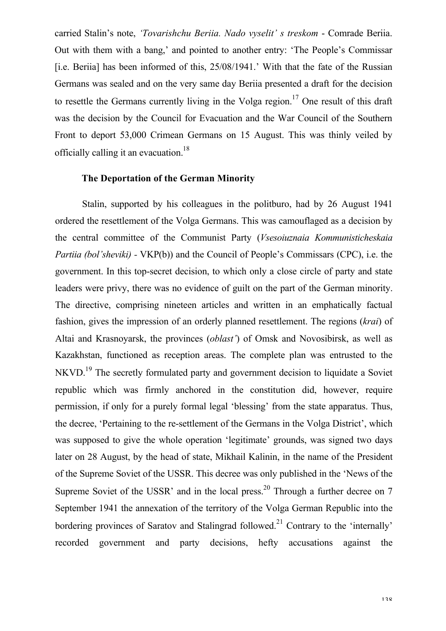carried Stalin's note, *'Tovarishchu Beriia. Nado vyselit' s treskom* - Comrade Beriia. Out with them with a bang,' and pointed to another entry: 'The People's Commissar [i.e. Beriia] has been informed of this, 25/08/1941.' With that the fate of the Russian Germans was sealed and on the very same day Beriia presented a draft for the decision to resettle the Germans currently living in the Volga region.<sup>17</sup> One result of this draft was the decision by the Council for Evacuation and the War Council of the Southern Front to deport 53,000 Crimean Germans on 15 August. This was thinly veiled by officially calling it an evacuation.<sup>18</sup>

# **The Deportation of the German Minority**

Stalin, supported by his colleagues in the politburo, had by 26 August 1941 ordered the resettlement of the Volga Germans. This was camouflaged as a decision by the central committee of the Communist Party (*Vsesoiuznaia Kommunisticheskaia Partiia (bol'sheviki) -* VKP(b)) and the Council of People's Commissars (CPC), i.e. the government. In this top-secret decision, to which only a close circle of party and state leaders were privy, there was no evidence of guilt on the part of the German minority. The directive, comprising nineteen articles and written in an emphatically factual fashion, gives the impression of an orderly planned resettlement. The regions (*krai*) of Altai and Krasnoyarsk, the provinces (*oblast'*) of Omsk and Novosibirsk, as well as Kazakhstan, functioned as reception areas. The complete plan was entrusted to the NKVD.<sup>19</sup> The secretly formulated party and government decision to liquidate a Soviet republic which was firmly anchored in the constitution did, however, require permission, if only for a purely formal legal 'blessing' from the state apparatus. Thus, the decree, 'Pertaining to the re-settlement of the Germans in the Volga District', which was supposed to give the whole operation 'legitimate' grounds, was signed two days later on 28 August, by the head of state, Mikhail Kalinin, in the name of the President of the Supreme Soviet of the USSR. This decree was only published in the 'News of the Supreme Soviet of the USSR' and in the local press.<sup>20</sup> Through a further decree on 7 September 1941 the annexation of the territory of the Volga German Republic into the bordering provinces of Saratov and Stalingrad followed.<sup>21</sup> Contrary to the 'internally' recorded government and party decisions, hefty accusations against the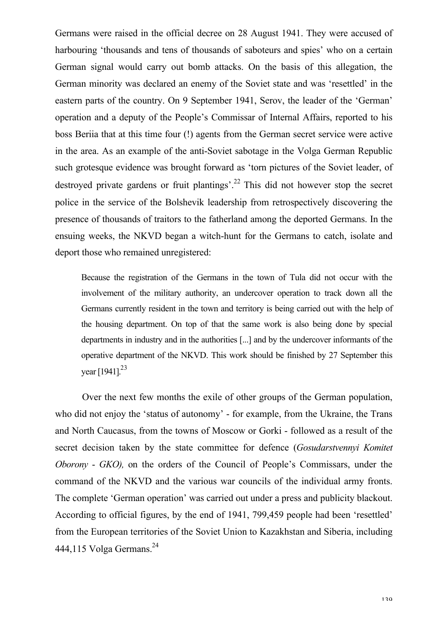Germans were raised in the official decree on 28 August 1941. They were accused of harbouring 'thousands and tens of thousands of saboteurs and spies' who on a certain German signal would carry out bomb attacks. On the basis of this allegation, the German minority was declared an enemy of the Soviet state and was 'resettled' in the eastern parts of the country. On 9 September 1941, Serov, the leader of the 'German' operation and a deputy of the People's Commissar of Internal Affairs, reported to his boss Beriia that at this time four (!) agents from the German secret service were active in the area. As an example of the anti-Soviet sabotage in the Volga German Republic such grotesque evidence was brought forward as 'torn pictures of the Soviet leader, of destroyed private gardens or fruit plantings'.<sup>22</sup> This did not however stop the secret police in the service of the Bolshevik leadership from retrospectively discovering the presence of thousands of traitors to the fatherland among the deported Germans. In the ensuing weeks, the NKVD began a witch-hunt for the Germans to catch, isolate and deport those who remained unregistered:

Because the registration of the Germans in the town of Tula did not occur with the involvement of the military authority, an undercover operation to track down all the Germans currently resident in the town and territory is being carried out with the help of the housing department. On top of that the same work is also being done by special departments in industry and in the authorities [...] and by the undercover informants of the operative department of the NKVD. This work should be finished by 27 September this year  $[1941]^{23}$ 

Over the next few months the exile of other groups of the German population, who did not enjoy the 'status of autonomy' - for example, from the Ukraine, the Trans and North Caucasus, from the towns of Moscow or Gorki - followed as a result of the secret decision taken by the state committee for defence (*Gosudarstvennyi Komitet Oborony* - *GKO),* on the orders of the Council of People's Commissars, under the command of the NKVD and the various war councils of the individual army fronts. The complete 'German operation' was carried out under a press and publicity blackout. According to official figures, by the end of 1941, 799,459 people had been 'resettled' from the European territories of the Soviet Union to Kazakhstan and Siberia, including 444,115 Volga Germans. 24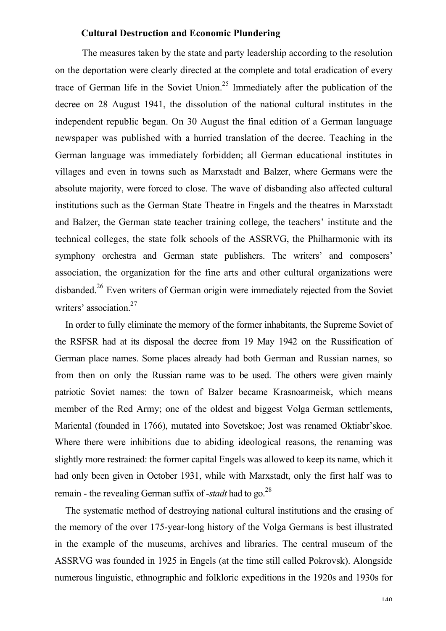#### **Cultural Destruction and Economic Plundering**

The measures taken by the state and party leadership according to the resolution on the deportation were clearly directed at the complete and total eradication of every trace of German life in the Soviet Union.<sup>25</sup> Immediately after the publication of the decree on 28 August 1941, the dissolution of the national cultural institutes in the independent republic began. On 30 August the final edition of a German language newspaper was published with a hurried translation of the decree. Teaching in the German language was immediately forbidden; all German educational institutes in villages and even in towns such as Marxstadt and Balzer, where Germans were the absolute majority, were forced to close. The wave of disbanding also affected cultural institutions such as the German State Theatre in Engels and the theatres in Marxstadt and Balzer, the German state teacher training college, the teachers' institute and the technical colleges, the state folk schools of the ASSRVG, the Philharmonic with its symphony orchestra and German state publishers. The writers' and composers' association, the organization for the fine arts and other cultural organizations were disbanded.26 Even writers of German origin were immediately rejected from the Soviet writers' association.<sup>27</sup>

In order to fully eliminate the memory of the former inhabitants, the Supreme Soviet of the RSFSR had at its disposal the decree from 19 May 1942 on the Russification of German place names. Some places already had both German and Russian names, so from then on only the Russian name was to be used. The others were given mainly patriotic Soviet names: the town of Balzer became Krasnoarmeisk, which means member of the Red Army; one of the oldest and biggest Volga German settlements, Mariental (founded in 1766), mutated into Sovetskoe; Jost was renamed Oktiabr'skoe. Where there were inhibitions due to abiding ideological reasons, the renaming was slightly more restrained: the former capital Engels was allowed to keep its name, which it had only been given in October 1931, while with Marxstadt, only the first half was to remain - the revealing German suffix of *-stadt* had to go.28

The systematic method of destroying national cultural institutions and the erasing of the memory of the over 175-year-long history of the Volga Germans is best illustrated in the example of the museums, archives and libraries. The central museum of the ASSRVG was founded in 1925 in Engels (at the time still called Pokrovsk). Alongside numerous linguistic, ethnographic and folkloric expeditions in the 1920s and 1930s for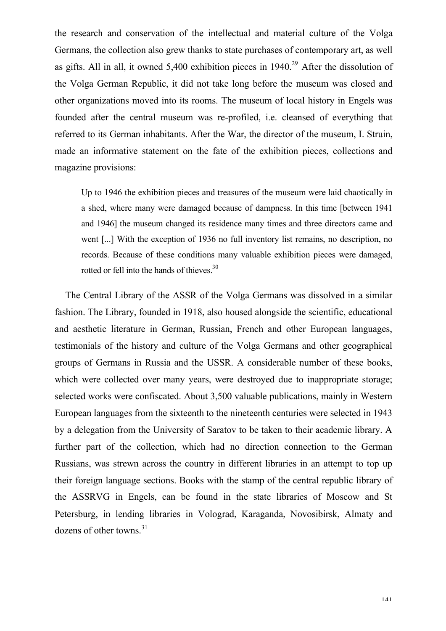the research and conservation of the intellectual and material culture of the Volga Germans, the collection also grew thanks to state purchases of contemporary art, as well as gifts. All in all, it owned  $5,400$  exhibition pieces in  $1940<sup>29</sup>$  After the dissolution of the Volga German Republic, it did not take long before the museum was closed and other organizations moved into its rooms. The museum of local history in Engels was founded after the central museum was re-profiled, i.e. cleansed of everything that referred to its German inhabitants. After the War, the director of the museum, I. Struin, made an informative statement on the fate of the exhibition pieces, collections and magazine provisions:

Up to 1946 the exhibition pieces and treasures of the museum were laid chaotically in a shed, where many were damaged because of dampness. In this time [between 1941 and 1946] the museum changed its residence many times and three directors came and went [...] With the exception of 1936 no full inventory list remains, no description, no records. Because of these conditions many valuable exhibition pieces were damaged, rotted or fell into the hands of thieves.<sup>30</sup>

The Central Library of the ASSR of the Volga Germans was dissolved in a similar fashion. The Library, founded in 1918, also housed alongside the scientific, educational and aesthetic literature in German, Russian, French and other European languages, testimonials of the history and culture of the Volga Germans and other geographical groups of Germans in Russia and the USSR. A considerable number of these books, which were collected over many years, were destroyed due to inappropriate storage; selected works were confiscated. About 3,500 valuable publications, mainly in Western European languages from the sixteenth to the nineteenth centuries were selected in 1943 by a delegation from the University of Saratov to be taken to their academic library. A further part of the collection, which had no direction connection to the German Russians, was strewn across the country in different libraries in an attempt to top up their foreign language sections. Books with the stamp of the central republic library of the ASSRVG in Engels, can be found in the state libraries of Moscow and St Petersburg, in lending libraries in Volograd, Karaganda, Novosibirsk, Almaty and dozens of other towns.<sup>31</sup>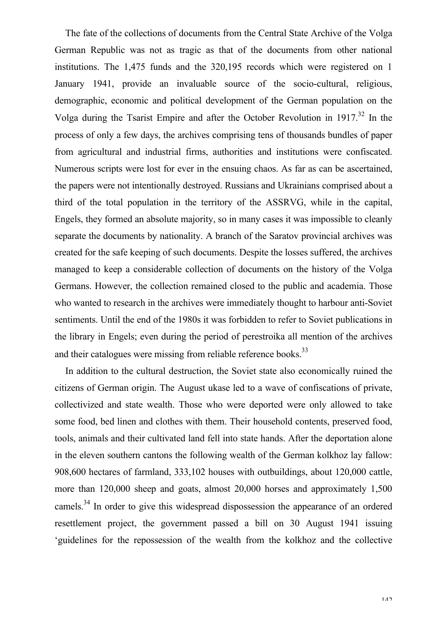The fate of the collections of documents from the Central State Archive of the Volga German Republic was not as tragic as that of the documents from other national institutions. The 1,475 funds and the 320,195 records which were registered on 1 January 1941, provide an invaluable source of the socio-cultural, religious, demographic, economic and political development of the German population on the Volga during the Tsarist Empire and after the October Revolution in 1917.<sup>32</sup> In the process of only a few days, the archives comprising tens of thousands bundles of paper from agricultural and industrial firms, authorities and institutions were confiscated. Numerous scripts were lost for ever in the ensuing chaos. As far as can be ascertained, the papers were not intentionally destroyed. Russians and Ukrainians comprised about a third of the total population in the territory of the ASSRVG, while in the capital, Engels, they formed an absolute majority, so in many cases it was impossible to cleanly separate the documents by nationality. A branch of the Saratov provincial archives was created for the safe keeping of such documents. Despite the losses suffered, the archives managed to keep a considerable collection of documents on the history of the Volga Germans. However, the collection remained closed to the public and academia. Those who wanted to research in the archives were immediately thought to harbour anti-Soviet sentiments. Until the end of the 1980s it was forbidden to refer to Soviet publications in the library in Engels; even during the period of perestroika all mention of the archives and their catalogues were missing from reliable reference books.<sup>33</sup>

In addition to the cultural destruction, the Soviet state also economically ruined the citizens of German origin. The August ukase led to a wave of confiscations of private, collectivized and state wealth. Those who were deported were only allowed to take some food, bed linen and clothes with them. Their household contents, preserved food, tools, animals and their cultivated land fell into state hands. After the deportation alone in the eleven southern cantons the following wealth of the German kolkhoz lay fallow: 908,600 hectares of farmland, 333,102 houses with outbuildings, about 120,000 cattle, more than 120,000 sheep and goats, almost 20,000 horses and approximately 1,500 camels.34 In order to give this widespread dispossession the appearance of an ordered resettlement project, the government passed a bill on 30 August 1941 issuing 'guidelines for the repossession of the wealth from the kolkhoz and the collective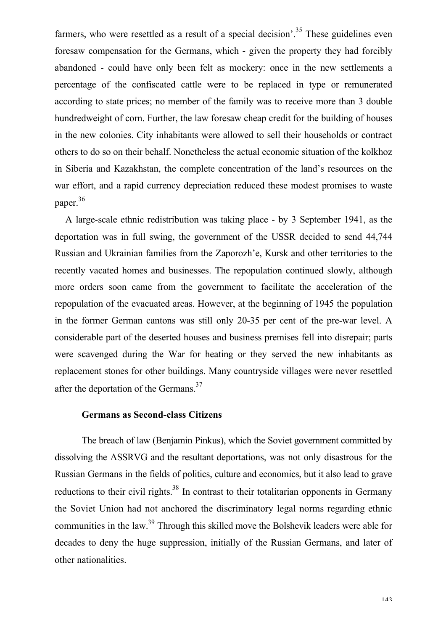farmers, who were resettled as a result of a special decision'.<sup>35</sup> These guidelines even foresaw compensation for the Germans, which - given the property they had forcibly abandoned - could have only been felt as mockery: once in the new settlements a percentage of the confiscated cattle were to be replaced in type or remunerated according to state prices; no member of the family was to receive more than 3 double hundredweight of corn. Further, the law foresaw cheap credit for the building of houses in the new colonies. City inhabitants were allowed to sell their households or contract others to do so on their behalf. Nonetheless the actual economic situation of the kolkhoz in Siberia and Kazakhstan, the complete concentration of the land's resources on the war effort, and a rapid currency depreciation reduced these modest promises to waste paper. 36

A large-scale ethnic redistribution was taking place - by 3 September 1941, as the deportation was in full swing, the government of the USSR decided to send 44,744 Russian and Ukrainian families from the Zaporozh'e, Kursk and other territories to the recently vacated homes and businesses. The repopulation continued slowly, although more orders soon came from the government to facilitate the acceleration of the repopulation of the evacuated areas. However, at the beginning of 1945 the population in the former German cantons was still only 20-35 per cent of the pre-war level. A considerable part of the deserted houses and business premises fell into disrepair; parts were scavenged during the War for heating or they served the new inhabitants as replacement stones for other buildings. Many countryside villages were never resettled after the deportation of the Germans.<sup>37</sup>

#### **Germans as Second-class Citizens**

The breach of law (Benjamin Pinkus), which the Soviet government committed by dissolving the ASSRVG and the resultant deportations, was not only disastrous for the Russian Germans in the fields of politics, culture and economics, but it also lead to grave reductions to their civil rights.<sup>38</sup> In contrast to their totalitarian opponents in Germany the Soviet Union had not anchored the discriminatory legal norms regarding ethnic communities in the law.39 Through this skilled move the Bolshevik leaders were able for decades to deny the huge suppression, initially of the Russian Germans, and later of other nationalities.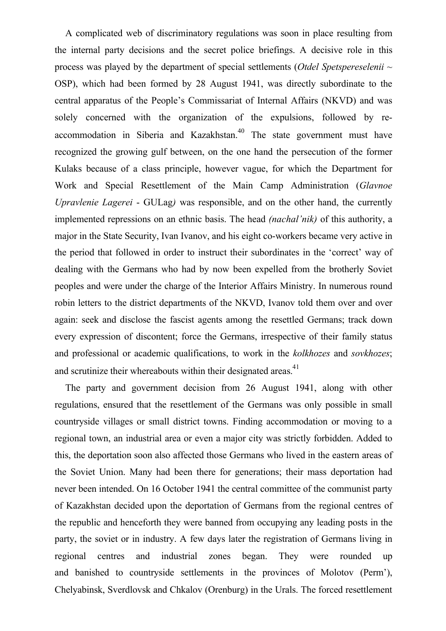A complicated web of discriminatory regulations was soon in place resulting from the internal party decisions and the secret police briefings. A decisive role in this process was played by the department of special settlements (*Otdel Spetspereselenii* ~ OSP), which had been formed by 28 August 1941, was directly subordinate to the central apparatus of the People's Commissariat of Internal Affairs (NKVD) and was solely concerned with the organization of the expulsions, followed by reaccommodation in Siberia and Kazakhstan.<sup>40</sup> The state government must have recognized the growing gulf between, on the one hand the persecution of the former Kulaks because of a class principle, however vague, for which the Department for Work and Special Resettlement of the Main Camp Administration (*Glavnoe Upravlenie Lagerei* - GULag*)* was responsible, and on the other hand, the currently implemented repressions on an ethnic basis. The head *(nachal'nik)* of this authority, a major in the State Security, Ivan Ivanov, and his eight co-workers became very active in the period that followed in order to instruct their subordinates in the 'correct' way of dealing with the Germans who had by now been expelled from the brotherly Soviet peoples and were under the charge of the Interior Affairs Ministry. In numerous round robin letters to the district departments of the NKVD, Ivanov told them over and over again: seek and disclose the fascist agents among the resettled Germans; track down every expression of discontent; force the Germans, irrespective of their family status and professional or academic qualifications, to work in the *kolkhozes* and *sovkhozes*; and scrutinize their whereabouts within their designated areas.<sup>41</sup>

The party and government decision from 26 August 1941, along with other regulations, ensured that the resettlement of the Germans was only possible in small countryside villages or small district towns. Finding accommodation or moving to a regional town, an industrial area or even a major city was strictly forbidden. Added to this, the deportation soon also affected those Germans who lived in the eastern areas of the Soviet Union. Many had been there for generations; their mass deportation had never been intended. On 16 October 1941 the central committee of the communist party of Kazakhstan decided upon the deportation of Germans from the regional centres of the republic and henceforth they were banned from occupying any leading posts in the party, the soviet or in industry. A few days later the registration of Germans living in regional centres and industrial zones began. They were rounded up and banished to countryside settlements in the provinces of Molotov (Perm'), Chelyabinsk, Sverdlovsk and Chkalov (Orenburg) in the Urals. The forced resettlement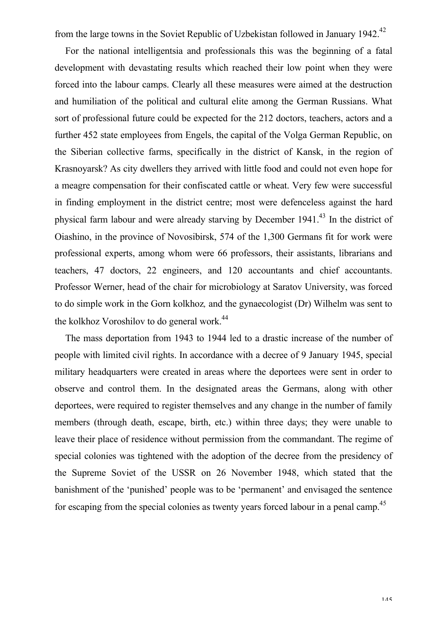from the large towns in the Soviet Republic of Uzbekistan followed in January 1942.<sup>42</sup>

For the national intelligentsia and professionals this was the beginning of a fatal development with devastating results which reached their low point when they were forced into the labour camps. Clearly all these measures were aimed at the destruction and humiliation of the political and cultural elite among the German Russians. What sort of professional future could be expected for the 212 doctors, teachers, actors and a further 452 state employees from Engels, the capital of the Volga German Republic, on the Siberian collective farms, specifically in the district of Kansk, in the region of Krasnoyarsk? As city dwellers they arrived with little food and could not even hope for a meagre compensation for their confiscated cattle or wheat. Very few were successful in finding employment in the district centre; most were defenceless against the hard physical farm labour and were already starving by December 1941.<sup>43</sup> In the district of Oiashino, in the province of Novosibirsk, 574 of the 1,300 Germans fit for work were professional experts, among whom were 66 professors, their assistants, librarians and teachers, 47 doctors, 22 engineers, and 120 accountants and chief accountants. Professor Werner, head of the chair for microbiology at Saratov University, was forced to do simple work in the Gorn kolkhoz*,* and the gynaecologist (Dr) Wilhelm was sent to the kolkhoz Voroshilov to do general work.<sup>44</sup>

The mass deportation from 1943 to 1944 led to a drastic increase of the number of people with limited civil rights. In accordance with a decree of 9 January 1945, special military headquarters were created in areas where the deportees were sent in order to observe and control them. In the designated areas the Germans, along with other deportees, were required to register themselves and any change in the number of family members (through death, escape, birth, etc.) within three days; they were unable to leave their place of residence without permission from the commandant. The regime of special colonies was tightened with the adoption of the decree from the presidency of the Supreme Soviet of the USSR on 26 November 1948, which stated that the banishment of the 'punished' people was to be 'permanent' and envisaged the sentence for escaping from the special colonies as twenty years forced labour in a penal camp.<sup>45</sup>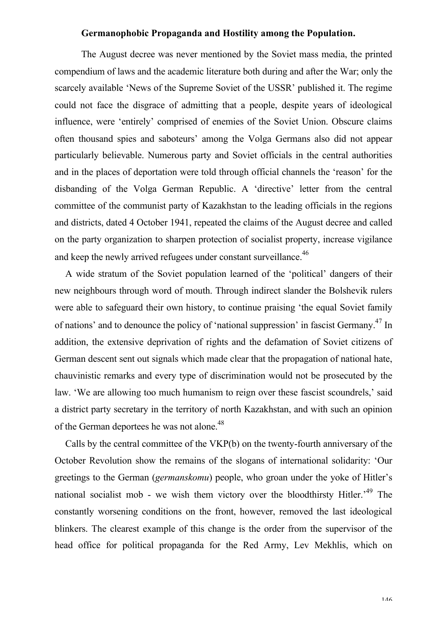# **Germanophobic Propaganda and Hostility among the Population.**

The August decree was never mentioned by the Soviet mass media, the printed compendium of laws and the academic literature both during and after the War; only the scarcely available 'News of the Supreme Soviet of the USSR' published it. The regime could not face the disgrace of admitting that a people, despite years of ideological influence, were 'entirely' comprised of enemies of the Soviet Union. Obscure claims often thousand spies and saboteurs' among the Volga Germans also did not appear particularly believable. Numerous party and Soviet officials in the central authorities and in the places of deportation were told through official channels the 'reason' for the disbanding of the Volga German Republic. A 'directive' letter from the central committee of the communist party of Kazakhstan to the leading officials in the regions and districts, dated 4 October 1941, repeated the claims of the August decree and called on the party organization to sharpen protection of socialist property, increase vigilance and keep the newly arrived refugees under constant surveillance.<sup>46</sup>

A wide stratum of the Soviet population learned of the 'political' dangers of their new neighbours through word of mouth. Through indirect slander the Bolshevik rulers were able to safeguard their own history, to continue praising 'the equal Soviet family of nations' and to denounce the policy of 'national suppression' in fascist Germany.<sup>47</sup> In addition, the extensive deprivation of rights and the defamation of Soviet citizens of German descent sent out signals which made clear that the propagation of national hate, chauvinistic remarks and every type of discrimination would not be prosecuted by the law. 'We are allowing too much humanism to reign over these fascist scoundrels,' said a district party secretary in the territory of north Kazakhstan, and with such an opinion of the German deportees he was not alone.<sup>48</sup>

Calls by the central committee of the VKP(b) on the twenty-fourth anniversary of the October Revolution show the remains of the slogans of international solidarity: 'Our greetings to the German (*germanskomu*) people, who groan under the yoke of Hitler's national socialist mob - we wish them victory over the bloodthirsty Hitler.<sup>49</sup> The constantly worsening conditions on the front, however, removed the last ideological blinkers. The clearest example of this change is the order from the supervisor of the head office for political propaganda for the Red Army, Lev Mekhlis, which on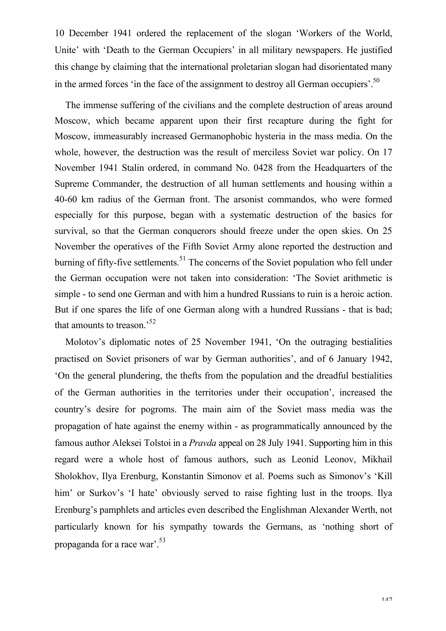10 December 1941 ordered the replacement of the slogan 'Workers of the World, Unite' with 'Death to the German Occupiers' in all military newspapers. He justified this change by claiming that the international proletarian slogan had disorientated many in the armed forces 'in the face of the assignment to destroy all German occupiers'.<sup>50</sup>

The immense suffering of the civilians and the complete destruction of areas around Moscow, which became apparent upon their first recapture during the fight for Moscow, immeasurably increased Germanophobic hysteria in the mass media. On the whole, however, the destruction was the result of merciless Soviet war policy. On 17 November 1941 Stalin ordered, in command No. 0428 from the Headquarters of the Supreme Commander, the destruction of all human settlements and housing within a 40-60 km radius of the German front. The arsonist commandos, who were formed especially for this purpose, began with a systematic destruction of the basics for survival, so that the German conquerors should freeze under the open skies. On 25 November the operatives of the Fifth Soviet Army alone reported the destruction and burning of fifty-five settlements.<sup>51</sup> The concerns of the Soviet population who fell under the German occupation were not taken into consideration: 'The Soviet arithmetic is simple - to send one German and with him a hundred Russians to ruin is a heroic action. But if one spares the life of one German along with a hundred Russians - that is bad; that amounts to treason.'52

Molotov's diplomatic notes of 25 November 1941, 'On the outraging bestialities practised on Soviet prisoners of war by German authorities', and of 6 January 1942, 'On the general plundering, the thefts from the population and the dreadful bestialities of the German authorities in the territories under their occupation', increased the country's desire for pogroms. The main aim of the Soviet mass media was the propagation of hate against the enemy within - as programmatically announced by the famous author Aleksei Tolstoi in a *Pravda* appeal on 28 July 1941. Supporting him in this regard were a whole host of famous authors, such as Leonid Leonov, Mikhail Sholokhov, Ilya Erenburg, Konstantin Simonov et al. Poems such as Simonov's 'Kill him' or Surkov's 'I hate' obviously served to raise fighting lust in the troops. Ilya Erenburg's pamphlets and articles even described the Englishman Alexander Werth, not particularly known for his sympathy towards the Germans, as 'nothing short of propaganda for a race war'.53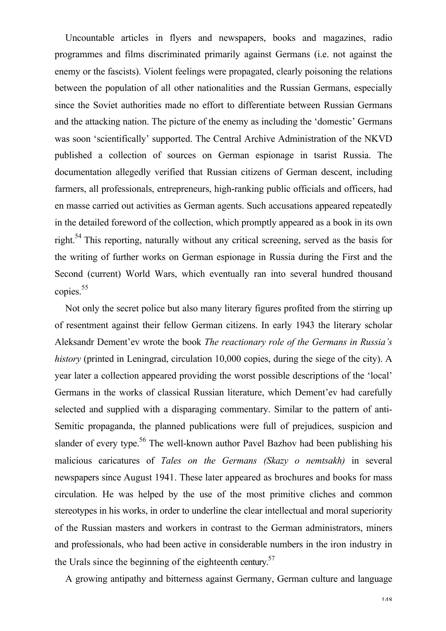Uncountable articles in flyers and newspapers, books and magazines, radio programmes and films discriminated primarily against Germans (i.e. not against the enemy or the fascists). Violent feelings were propagated, clearly poisoning the relations between the population of all other nationalities and the Russian Germans, especially since the Soviet authorities made no effort to differentiate between Russian Germans and the attacking nation. The picture of the enemy as including the 'domestic' Germans was soon 'scientifically' supported. The Central Archive Administration of the NKVD published a collection of sources on German espionage in tsarist Russia. The documentation allegedly verified that Russian citizens of German descent, including farmers, all professionals, entrepreneurs, high-ranking public officials and officers, had en masse carried out activities as German agents. Such accusations appeared repeatedly in the detailed foreword of the collection, which promptly appeared as a book in its own right.54 This reporting, naturally without any critical screening, served as the basis for the writing of further works on German espionage in Russia during the First and the Second (current) World Wars, which eventually ran into several hundred thousand copies. 55

Not only the secret police but also many literary figures profited from the stirring up of resentment against their fellow German citizens. In early 1943 the literary scholar Aleksandr Dement'ev wrote the book *The reactionary role of the Germans in Russia's history* (printed in Leningrad, circulation 10,000 copies, during the siege of the city). A year later a collection appeared providing the worst possible descriptions of the 'local' Germans in the works of classical Russian literature, which Dement'ev had carefully selected and supplied with a disparaging commentary. Similar to the pattern of anti-Semitic propaganda, the planned publications were full of prejudices, suspicion and slander of every type.<sup>56</sup> The well-known author Pavel Bazhov had been publishing his malicious caricatures of *Tales on the Germans (Skazy o nemtsakh)* in several newspapers since August 1941. These later appeared as brochures and books for mass circulation. He was helped by the use of the most primitive cliches and common stereotypes in his works, in order to underline the clear intellectual and moral superiority of the Russian masters and workers in contrast to the German administrators, miners and professionals, who had been active in considerable numbers in the iron industry in the Urals since the beginning of the eighteenth century.<sup>57</sup>

A growing antipathy and bitterness against Germany, German culture and language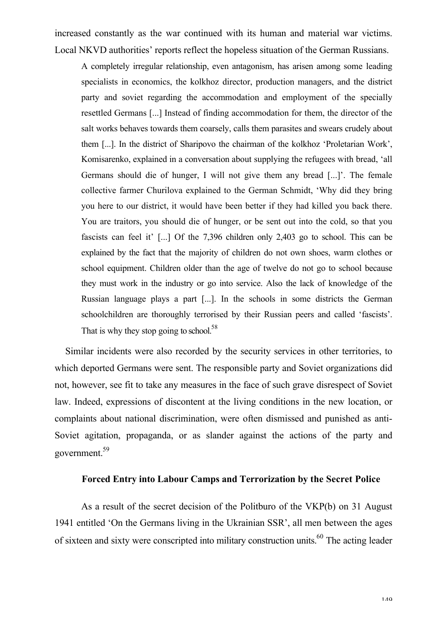increased constantly as the war continued with its human and material war victims. Local NKVD authorities' reports reflect the hopeless situation of the German Russians.

A completely irregular relationship, even antagonism, has arisen among some leading specialists in economics, the kolkhoz director, production managers, and the district party and soviet regarding the accommodation and employment of the specially resettled Germans [...] Instead of finding accommodation for them, the director of the salt works behaves towards them coarsely, calls them parasites and swears crudely about them [...]. In the district of Sharipovo the chairman of the kolkhoz 'Proletarian Work', Komisarenko, explained in a conversation about supplying the refugees with bread, 'all Germans should die of hunger, I will not give them any bread [...]'. The female collective farmer Churilova explained to the German Schmidt, 'Why did they bring you here to our district, it would have been better if they had killed you back there. You are traitors, you should die of hunger, or be sent out into the cold, so that you fascists can feel it' [...] Of the 7,396 children only 2,403 go to school. This can be explained by the fact that the majority of children do not own shoes, warm clothes or school equipment. Children older than the age of twelve do not go to school because they must work in the industry or go into service. Also the lack of knowledge of the Russian language plays a part [...]. In the schools in some districts the German schoolchildren are thoroughly terrorised by their Russian peers and called 'fascists'. That is why they stop going to school.<sup>58</sup>

Similar incidents were also recorded by the security services in other territories, to which deported Germans were sent. The responsible party and Soviet organizations did not, however, see fit to take any measures in the face of such grave disrespect of Soviet law. Indeed, expressions of discontent at the living conditions in the new location, or complaints about national discrimination, were often dismissed and punished as anti-Soviet agitation, propaganda, or as slander against the actions of the party and government. 59

#### **Forced Entry into Labour Camps and Terrorization by the Secret Police**

As a result of the secret decision of the Politburo of the VKP(b) on 31 August 1941 entitled 'On the Germans living in the Ukrainian SSR', all men between the ages of sixteen and sixty were conscripted into military construction units.<sup>60</sup> The acting leader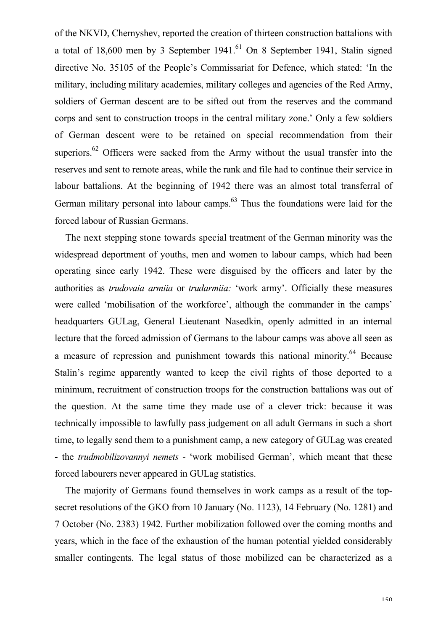of the NKVD, Chernyshev, reported the creation of thirteen construction battalions with a total of 18,600 men by 3 September 1941.<sup>61</sup> On 8 September 1941, Stalin signed directive No. 35105 of the People's Commissariat for Defence, which stated: 'In the military, including military academies, military colleges and agencies of the Red Army, soldiers of German descent are to be sifted out from the reserves and the command corps and sent to construction troops in the central military zone.' Only a few soldiers of German descent were to be retained on special recommendation from their superiors.<sup>62</sup> Officers were sacked from the Army without the usual transfer into the reserves and sent to remote areas, while the rank and file had to continue their service in labour battalions. At the beginning of 1942 there was an almost total transferral of German military personal into labour camps.<sup>63</sup> Thus the foundations were laid for the forced labour of Russian Germans.

The next stepping stone towards special treatment of the German minority was the widespread deportment of youths, men and women to labour camps, which had been operating since early 1942. These were disguised by the officers and later by the authorities as *trudovaia armiia* or *trudarmiia:* 'work army'. Officially these measures were called 'mobilisation of the workforce', although the commander in the camps' headquarters GULag, General Lieutenant Nasedkin, openly admitted in an internal lecture that the forced admission of Germans to the labour camps was above all seen as a measure of repression and punishment towards this national minority.<sup>64</sup> Because Stalin's regime apparently wanted to keep the civil rights of those deported to a minimum, recruitment of construction troops for the construction battalions was out of the question. At the same time they made use of a clever trick: because it was technically impossible to lawfully pass judgement on all adult Germans in such a short time, to legally send them to a punishment camp, a new category of GULag was created - the *trudmobilizovannyi nemets -* 'work mobilised German', which meant that these forced labourers never appeared in GULag statistics.

The majority of Germans found themselves in work camps as a result of the topsecret resolutions of the GKO from 10 January (No. 1123), 14 February (No. 1281) and 7 October (No. 2383) 1942. Further mobilization followed over the coming months and years, which in the face of the exhaustion of the human potential yielded considerably smaller contingents. The legal status of those mobilized can be characterized as a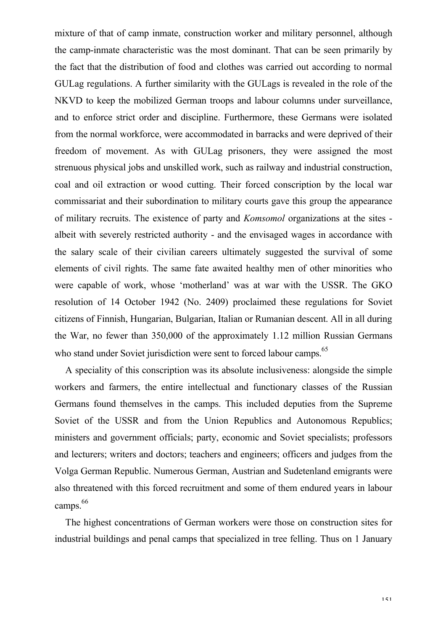mixture of that of camp inmate, construction worker and military personnel, although the camp-inmate characteristic was the most dominant. That can be seen primarily by the fact that the distribution of food and clothes was carried out according to normal GULag regulations. A further similarity with the GULags is revealed in the role of the NKVD to keep the mobilized German troops and labour columns under surveillance, and to enforce strict order and discipline. Furthermore, these Germans were isolated from the normal workforce, were accommodated in barracks and were deprived of their freedom of movement. As with GULag prisoners, they were assigned the most strenuous physical jobs and unskilled work, such as railway and industrial construction, coal and oil extraction or wood cutting. Their forced conscription by the local war commissariat and their subordination to military courts gave this group the appearance of military recruits. The existence of party and *Komsomol* organizations at the sites albeit with severely restricted authority - and the envisaged wages in accordance with the salary scale of their civilian careers ultimately suggested the survival of some elements of civil rights. The same fate awaited healthy men of other minorities who were capable of work, whose 'motherland' was at war with the USSR. The GKO resolution of 14 October 1942 (No. 2409) proclaimed these regulations for Soviet citizens of Finnish, Hungarian, Bulgarian, Italian or Rumanian descent. All in all during the War, no fewer than 350,000 of the approximately 1.12 million Russian Germans who stand under Soviet jurisdiction were sent to forced labour camps.<sup>65</sup>

A speciality of this conscription was its absolute inclusiveness: alongside the simple workers and farmers, the entire intellectual and functionary classes of the Russian Germans found themselves in the camps. This included deputies from the Supreme Soviet of the USSR and from the Union Republics and Autonomous Republics; ministers and government officials; party, economic and Soviet specialists; professors and lecturers; writers and doctors; teachers and engineers; officers and judges from the Volga German Republic. Numerous German, Austrian and Sudetenland emigrants were also threatened with this forced recruitment and some of them endured years in labour camps. 66

The highest concentrations of German workers were those on construction sites for industrial buildings and penal camps that specialized in tree felling. Thus on 1 January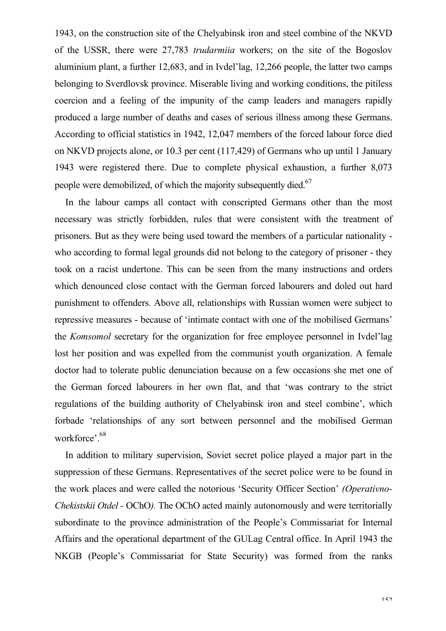1943, on the construction site of the Chelyabinsk iron and steel combine of the NKVD of the USSR, there were 27,783 *trudarmiia* workers; on the site of the Bogoslov aluminium plant, a further 12,683, and in Ivdel'lag, 12,266 people, the latter two camps belonging to Sverdlovsk province. Miserable living and working conditions, the pitiless coercion and a feeling of the impunity of the camp leaders and managers rapidly produced a large number of deaths and cases of serious illness among these Germans. According to official statistics in 1942, 12,047 members of the forced labour force died on NKVD projects alone, or 10.3 per cent (117,429) of Germans who up until 1 January 1943 were registered there. Due to complete physical exhaustion, a further 8,073 people were demobilized, of which the majority subsequently died.<sup>67</sup>

In the labour camps all contact with conscripted Germans other than the most necessary was strictly forbidden, rules that were consistent with the treatment of prisoners. But as they were being used toward the members of a particular nationality who according to formal legal grounds did not belong to the category of prisoner - they took on a racist undertone. This can be seen from the many instructions and orders which denounced close contact with the German forced labourers and doled out hard punishment to offenders. Above all, relationships with Russian women were subject to repressive measures - because of 'intimate contact with one of the mobilised Germans' the *Komsomol* secretary for the organization for free employee personnel in Ivdel'lag lost her position and was expelled from the communist youth organization. A female doctor had to tolerate public denunciation because on a few occasions she met one of the German forced labourers in her own flat, and that 'was contrary to the strict regulations of the building authority of Chelyabinsk iron and steel combine', which forbade 'relationships of any sort between personnel and the mobilised German workforce'. 68

In addition to military supervision, Soviet secret police played a major part in the suppression of these Germans. Representatives of the secret police were to be found in the work places and were called the notorious 'Security Officer Section' *(Operativno-Chekistskii Otdel -* OChO*).* The OChO acted mainly autonomously and were territorially subordinate to the province administration of the People's Commissariat for Internal Affairs and the operational department of the GULag Central office. In April 1943 the NKGB (People's Commissariat for State Security) was formed from the ranks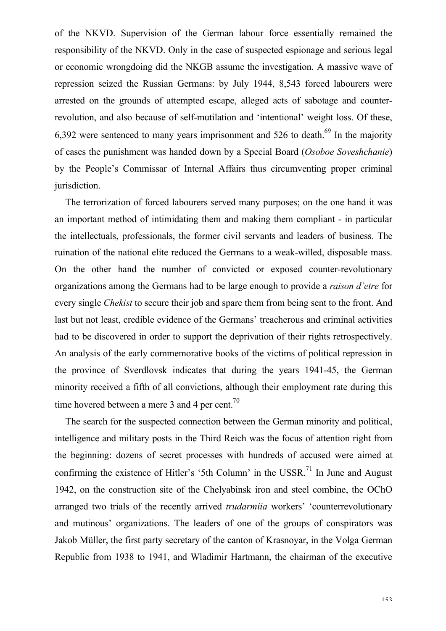of the NKVD. Supervision of the German labour force essentially remained the responsibility of the NKVD. Only in the case of suspected espionage and serious legal or economic wrongdoing did the NKGB assume the investigation. A massive wave of repression seized the Russian Germans: by July 1944, 8,543 forced labourers were arrested on the grounds of attempted escape, alleged acts of sabotage and counterrevolution, and also because of self-mutilation and 'intentional' weight loss. Of these, 6,392 were sentenced to many years imprisonment and  $526$  to death.<sup>69</sup> In the majority of cases the punishment was handed down by a Special Board (*Osoboe Soveshchanie*) by the People's Commissar of Internal Affairs thus circumventing proper criminal jurisdiction.

The terrorization of forced labourers served many purposes; on the one hand it was an important method of intimidating them and making them compliant - in particular the intellectuals, professionals, the former civil servants and leaders of business. The ruination of the national elite reduced the Germans to a weak-willed, disposable mass. On the other hand the number of convicted or exposed counter-revolutionary organizations among the Germans had to be large enough to provide a *raison d'etre* for every single *Chekist* to secure their job and spare them from being sent to the front. And last but not least, credible evidence of the Germans' treacherous and criminal activities had to be discovered in order to support the deprivation of their rights retrospectively. An analysis of the early commemorative books of the victims of political repression in the province of Sverdlovsk indicates that during the years 1941-45, the German minority received a fifth of all convictions, although their employment rate during this time hovered between a mere 3 and 4 per cent.<sup>70</sup>

The search for the suspected connection between the German minority and political, intelligence and military posts in the Third Reich was the focus of attention right from the beginning: dozens of secret processes with hundreds of accused were aimed at confirming the existence of Hitler's '5th Column' in the USSR.<sup>71</sup> In June and August 1942, on the construction site of the Chelyabinsk iron and steel combine, the OChO arranged two trials of the recently arrived *trudarmiia* workers' 'counterrevolutionary and mutinous' organizations. The leaders of one of the groups of conspirators was Jakob Müller, the first party secretary of the canton of Krasnoyar, in the Volga German Republic from 1938 to 1941, and Wladimir Hartmann, the chairman of the executive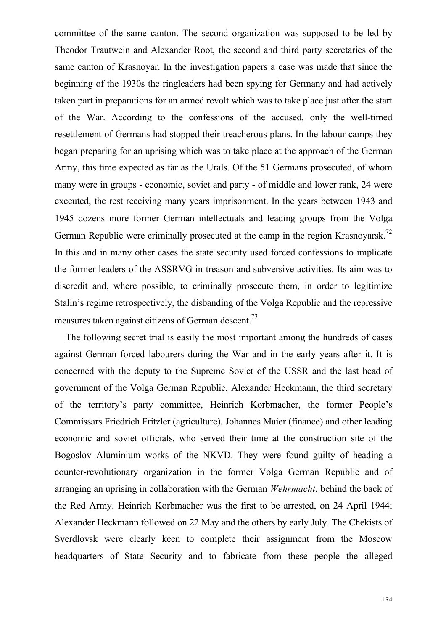committee of the same canton. The second organization was supposed to be led by Theodor Trautwein and Alexander Root, the second and third party secretaries of the same canton of Krasnoyar. In the investigation papers a case was made that since the beginning of the 1930s the ringleaders had been spying for Germany and had actively taken part in preparations for an armed revolt which was to take place just after the start of the War. According to the confessions of the accused, only the well-timed resettlement of Germans had stopped their treacherous plans. In the labour camps they began preparing for an uprising which was to take place at the approach of the German Army, this time expected as far as the Urals. Of the 51 Germans prosecuted, of whom many were in groups - economic, soviet and party - of middle and lower rank, 24 were executed, the rest receiving many years imprisonment. In the years between 1943 and 1945 dozens more former German intellectuals and leading groups from the Volga German Republic were criminally prosecuted at the camp in the region Krasnoyarsk.<sup>72</sup> In this and in many other cases the state security used forced confessions to implicate the former leaders of the ASSRVG in treason and subversive activities. Its aim was to discredit and, where possible, to criminally prosecute them, in order to legitimize Stalin's regime retrospectively, the disbanding of the Volga Republic and the repressive measures taken against citizens of German descent.<sup>73</sup>

The following secret trial is easily the most important among the hundreds of cases against German forced labourers during the War and in the early years after it. It is concerned with the deputy to the Supreme Soviet of the USSR and the last head of government of the Volga German Republic, Alexander Heckmann, the third secretary of the territory's party committee, Heinrich Korbmacher, the former People's Commissars Friedrich Fritzler (agriculture), Johannes Maier (finance) and other leading economic and soviet officials, who served their time at the construction site of the Bogoslov Aluminium works of the NKVD. They were found guilty of heading a counter-revolutionary organization in the former Volga German Republic and of arranging an uprising in collaboration with the German *Wehrmacht*, behind the back of the Red Army. Heinrich Korbmacher was the first to be arrested, on 24 April 1944; Alexander Heckmann followed on 22 May and the others by early July. The Chekists of Sverdlovsk were clearly keen to complete their assignment from the Moscow headquarters of State Security and to fabricate from these people the alleged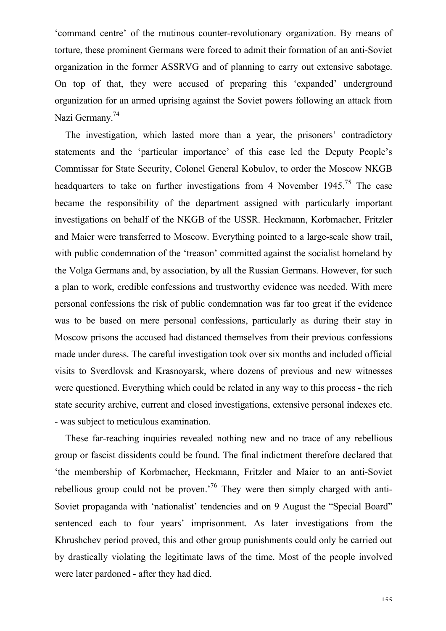'command centre' of the mutinous counter-revolutionary organization. By means of torture, these prominent Germans were forced to admit their formation of an anti-Soviet organization in the former ASSRVG and of planning to carry out extensive sabotage. On top of that, they were accused of preparing this 'expanded' underground organization for an armed uprising against the Soviet powers following an attack from Nazi Germany.<sup>74</sup>

The investigation, which lasted more than a year, the prisoners' contradictory statements and the 'particular importance' of this case led the Deputy People's Commissar for State Security, Colonel General Kobulov, to order the Moscow NKGB headquarters to take on further investigations from 4 November 1945.<sup>75</sup> The case became the responsibility of the department assigned with particularly important investigations on behalf of the NKGB of the USSR. Heckmann, Korbmacher, Fritzler and Maier were transferred to Moscow. Everything pointed to a large-scale show trail, with public condemnation of the 'treason' committed against the socialist homeland by the Volga Germans and, by association, by all the Russian Germans. However, for such a plan to work, credible confessions and trustworthy evidence was needed. With mere personal confessions the risk of public condemnation was far too great if the evidence was to be based on mere personal confessions, particularly as during their stay in Moscow prisons the accused had distanced themselves from their previous confessions made under duress. The careful investigation took over six months and included official visits to Sverdlovsk and Krasnoyarsk, where dozens of previous and new witnesses were questioned. Everything which could be related in any way to this process - the rich state security archive, current and closed investigations, extensive personal indexes etc. - was subject to meticulous examination.

These far-reaching inquiries revealed nothing new and no trace of any rebellious group or fascist dissidents could be found. The final indictment therefore declared that 'the membership of Korbmacher, Heckmann, Fritzler and Maier to an anti-Soviet rebellious group could not be proven.<sup>76</sup> They were then simply charged with anti-Soviet propaganda with 'nationalist' tendencies and on 9 August the "Special Board" sentenced each to four years' imprisonment. As later investigations from the Khrushchev period proved, this and other group punishments could only be carried out by drastically violating the legitimate laws of the time. Most of the people involved were later pardoned - after they had died.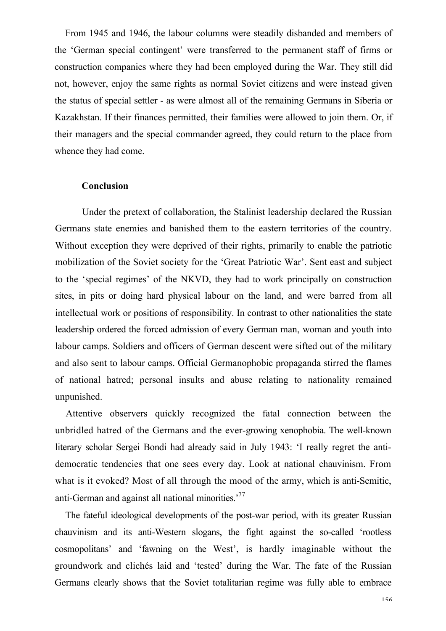From 1945 and 1946, the labour columns were steadily disbanded and members of the 'German special contingent' were transferred to the permanent staff of firms or construction companies where they had been employed during the War. They still did not, however, enjoy the same rights as normal Soviet citizens and were instead given the status of special settler - as were almost all of the remaining Germans in Siberia or Kazakhstan. If their finances permitted, their families were allowed to join them. Or, if their managers and the special commander agreed, they could return to the place from whence they had come.

# **Conclusion**

Under the pretext of collaboration, the Stalinist leadership declared the Russian Germans state enemies and banished them to the eastern territories of the country. Without exception they were deprived of their rights, primarily to enable the patriotic mobilization of the Soviet society for the 'Great Patriotic War'. Sent east and subject to the 'special regimes' of the NKVD, they had to work principally on construction sites, in pits or doing hard physical labour on the land, and were barred from all intellectual work or positions of responsibility. In contrast to other nationalities the state leadership ordered the forced admission of every German man, woman and youth into labour camps. Soldiers and officers of German descent were sifted out of the military and also sent to labour camps. Official Germanophobic propaganda stirred the flames of national hatred; personal insults and abuse relating to nationality remained unpunished.

Attentive observers quickly recognized the fatal connection between the unbridled hatred of the Germans and the ever-growing xenophobia. The well-known literary scholar Sergei Bondi had already said in July 1943: 'I really regret the antidemocratic tendencies that one sees every day. Look at national chauvinism. From what is it evoked? Most of all through the mood of the army, which is anti-Semitic, anti-German and against all national minorities.'77

The fateful ideological developments of the post-war period, with its greater Russian chauvinism and its anti-Western slogans, the fight against the so-called 'rootless cosmopolitans' and 'fawning on the West', is hardly imaginable without the groundwork and clichés laid and 'tested' during the War. The fate of the Russian Germans clearly shows that the Soviet totalitarian regime was fully able to embrace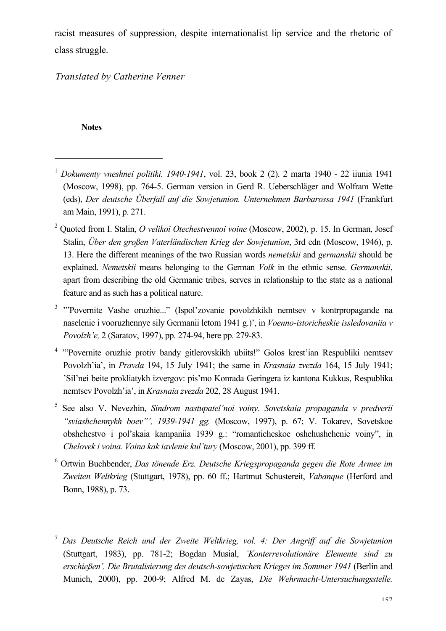racist measures of suppression, despite internationalist lip service and the rhetoric of class struggle.

*Translated by Catherine Venner*

**Notes**

l

- <sup>1</sup> *Dokumenty vneshnei politiki. 1940-1941*, vol. 23, book 2 (2). 2 marta 1940 22 iiunia 1941 (Moscow, 1998), pp. 764-5. German version in Gerd R. Ueberschläger and Wolfram Wette (eds), *Der deutsche Überfall auf die Sowjetunion. Unternehmen Barbarossa 1941* (Frankfurt am Main, 1991), p. 271.
- <sup>2</sup> Quoted from I. Stalin, *O velikoi Otechestvennoi voine* (Moscow, 2002), p. 15. In German, Josef Stalin, *Über den großen Vaterländischen Krieg der Sowjetunion*, 3rd edn (Moscow, 1946), p. 13. Here the different meanings of the two Russian words *nemetskii* and *germanskii* should be explained. *Nemetskii* means belonging to the German *Volk* in the ethnic sense. *Germanskii*, apart from describing the old Germanic tribes, serves in relationship to the state as a national feature and as such has a political nature.
- <sup>3</sup> "Povernite Vashe oruzhie..." (Ispol'zovanie povolzhkikh nemtsev v kontrpropagande na naselenie i vooruzhennye sily Germanii letom 1941 g.)', in *Voenno-istoricheskie issledovaniia v Povolzh'e,* 2 (Saratov, 1997), pp. 274-94, here pp. 279-83.
- <sup>4</sup> '"Povernite oruzhie protiv bandy gitlerovskikh ubiits!" Golos krest'ian Respubliki nemtsev Povolzh'ia', in *Pravda* 194, 15 July 1941; the same in *Krasnaia zvezda* 164, 15 July 1941; 'Sil'nei beite prokliatykh izvergov: pis'mo Konrada Geringera iz kantona Kukkus, Respublika nemtsev Povolzh'ia', in *Krasnaia zvezda* 202, 28 August 1941.
- <sup>5</sup> See also V. Nevezhin, *Sindrom nastupatel'noi voiny. Sovetskaia propaganda v predverii "sviashchennykh boev"', 1939-1941 gg.* (Moscow, 1997), p. 67; V. Tokarev, Sovetskoe obshchestvo i pol'skaia kampaniia 1939 g.: "romanticheskoe oshchushchenie voiny", in *Chelovek i voina. Voina kak iavlenie kul'tury* (Moscow, 2001), pp. 399 ff.
- <sup>6</sup> Ortwin Buchbender, *Das tönende Erz. Deutsche Kriegspropaganda gegen die Rote Armee im Zweiten Weltkrieg* (Stuttgart, 1978), pp. 60 ff.; Hartmut Schustereit, *Vabanque* (Herford and Bonn, 1988), p. 73.

<sup>7</sup> *Das Deutsche Reich und der Zweite Weltkrieg, vol. 4: Der Angriff auf die Sowjetunion* (Stuttgart, 1983), pp. 781-2; Bogdan Musial, *'Konterrevolutionäre Elemente sind zu erschießen'. Die Brutalisierung des deutsch-sowjetischen Krieges im Sommer 1941* (Berlin and Munich, 2000), pp. 200-9; Alfred M. de Zayas, *Die Wehrmacht-Untersuchungsstelle.*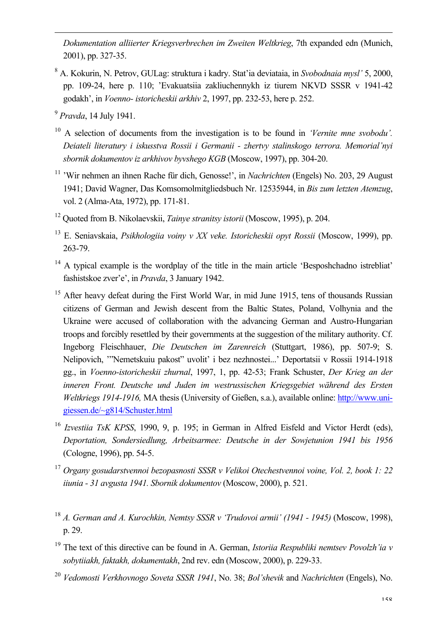*Dokumentation alliierter Kriegsverbrechen im Zweiten Weltkrieg*, 7th expanded edn (Munich, 2001), pp. 327-35.

<sup>8</sup> A. Kokurin, N. Petrov, GULag: struktura i kadry. Stat'ia deviataia, in *Svobodnaia mysl'* 5, 2000, pp. 109-24, here p. 110; 'Evakuatsiia zakliuchennykh iz tiurem NKVD SSSR v 1941-42 godakh', in *Voenno- istoricheskii arkhiv* 2, 1997, pp. 232-53, here p. 252.

<sup>9</sup> *Pravda*, 14 July 1941.

- <sup>10</sup> A selection of documents from the investigation is to be found in *'Vernite mne svobodu'. Deiateli literatury i iskusstva Rossii i Germanii - zhertvy stalinskogo terrora. Memorial'nyi sbornik dokumentov iz arkhivov byvshego KGB* (Moscow, 1997), pp. 304-20.
- <sup>11</sup> 'Wir nehmen an ihnen Rache für dich, Genosse!', in *Nachrichten* (Engels) No. 203, 29 August 1941; David Wagner, Das Komsomolmitgliedsbuch Nr. 12535944, in *Bis zum letzten Atemzug*, vol. 2 (Alma-Ata, 1972), pp. 171-81.
- <sup>12</sup> Quoted from B. Nikolaevskii, *Tainye stranitsy istorii* (Moscow, 1995), p. 204.
- <sup>13</sup> E. Seniavskaia, *Psikhologiia voiny v XX veke. Istoricheskii opyt Rossii* (Moscow, 1999), pp. 263-79.
- <sup>14</sup> A typical example is the wordplay of the title in the main article 'Besposhchadno istrebliat' fashistskoe zver'e', in *Pravda*, 3 January 1942.
- <sup>15</sup> After heavy defeat during the First World War, in mid June 1915, tens of thousands Russian citizens of German and Jewish descent from the Baltic States, Poland, Volhynia and the Ukraine were accused of collaboration with the advancing German and Austro-Hungarian troops and forcibly resettled by their governments at the suggestion of the military authority. Cf. Ingeborg Fleischhauer, *Die Deutschen im Zarenreich* (Stuttgart, 1986), pp. 507-9; S. Nelipovich, '"Nemetskuiu pakost" uvolit' i bez nezhnostei...' Deportatsii v Rossii 1914-1918 gg., in *Voenno-istoricheskii zhurnal*, 1997, 1, pp. 42-53; Frank Schuster, *Der Krieg an der inneren Front. Deutsche und Juden im westrussischen Kriegsgebiet während des Ersten Weltkriegs 1914-1916,* MA thesis (University of Gießen, s.a.), available online: http://www.unigiessen.de/~g814/Schuster.html
- <sup>16</sup> *Izvestiia TsK KPSS*, 1990, 9, p. 195; in German in Alfred Eisfeld and Victor Herdt (eds), *Deportation, Sondersiedlung, Arbeitsarmee: Deutsche in der Sowjetunion 1941 bis 1956* (Cologne, 1996), pp. 54-5.
- <sup>17</sup> *Organy gosudarstvennoi bezopasnosti SSSR v Velikoi Otechestvennoi voine, Vol. 2, book 1: 22 iiunia - 31 avgusta 1941. Sbornik dokumentov* (Moscow, 2000), p. 521.
- <sup>18</sup> *A. German and A. Kurochkin, Nemtsy SSSR v 'Trudovoi armii' (1941 - 1945)* (Moscow, 1998), p. 29.
- <sup>19</sup> The text of this directive can be found in A. German, *Istoriia Respubliki nemtsev Povolzh'ia v sobytiiakh, faktakh, dokumentakh*, 2nd rev. edn (Moscow, 2000), p. 229-33.
- <sup>20</sup> *Vedomosti Verkhovnogo Soveta SSSR 1941*, No. 38; *Bol'shevik* and *Nachrichten* (Engels), No.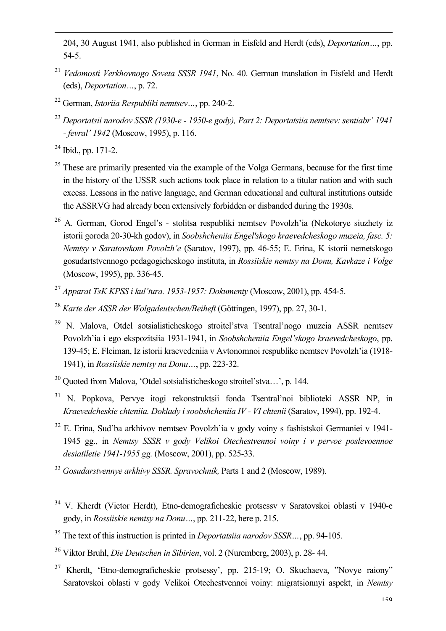204, 30 August 1941, also published in German in Eisfeld and Herdt (eds), *Deportation…*, pp. 54-5.

- <sup>21</sup> *Vedomosti Verkhovnogo Soveta SSSR 1941*, No. 40. German translation in Eisfeld and Herdt (eds), *Deportation…*, p. 72.
- <sup>22</sup> German, *Istoriia Respubliki nemtsev…*, pp. 240-2.
- <sup>23</sup> *Deportatsii narodov SSSR (1930-e - 1950-e gody), Part 2: Deportatsiia nemtsev: sentiabr' 1941 - fevral' 1942* (Moscow, 1995), p. 116.
- <sup>24</sup> Ibid., pp. 171-2.

- <sup>25</sup> These are primarily presented via the example of the Volga Germans, because for the first time in the history of the USSR such actions took place in relation to a titular nation and with such excess. Lessons in the native language, and German educational and cultural institutions outside the ASSRVG had already been extensively forbidden or disbanded during the 1930s.
- <sup>26</sup> A. German, Gorod Engel's stolitsa respubliki nemtsev Povolzh'ia (Nekotorye siuzhety iz istorii goroda 20-30-kh godov), in *Soobshcheniia Engel'skogo kraevedcheskogo muzeia, fasc. 5: Nemtsy v Saratovskom Povolzh'e* (Saratov, 1997), pp. 46-55; E. Erina, K istorii nemetskogo gosudartstvennogo pedagogicheskogo instituta, in *Rossiiskie nemtsy na Donu, Kavkaze i Volge*  (Moscow, 1995), pp. 336-45.
- <sup>27</sup> *Apparat TsK KPSS i kul'tura. 1953-1957: Dokumenty* (Moscow, 2001), pp. 454-5.
- <sup>28</sup> *Karte der ASSR der Wolgadeutschen/Beiheft* (Göttingen, 1997), pp. 27, 30-1.
- $^{29}$  N. Malova, Otdel sotsialisticheskogo stroitel'stva Tsentral'nogo muzeia ASSR nemtsev Povolzh'ia i ego ekspozitsiia 1931-1941, in *Soobshcheniia Engel'skogo kraevedcheskogo*, pp. 139-45; E. Fleiman, Iz istorii kraevedeniia v Avtonomnoi respublike nemtsev Povolzh'ia (1918- 1941), in *Rossiiskie nemtsy na Donu…*, pp. 223-32.
- <sup>30</sup> Quoted from Malova, 'Otdel sotsialisticheskogo stroitel'stva…', p. 144.
- <sup>31</sup> N. Popkova, Pervye itogi rekonstruktsii fonda Tsentral'noi biblioteki ASSR NP, in *Kraevedcheskie chteniia. Doklady i soobshcheniia IV - VI chtenii* (Saratov, 1994), pp. 192-4.
- <sup>32</sup> E. Erina, Sud'ba arkhivov nemtsev Povolzh'ia v gody voiny s fashistskoi Germaniei v 1941- 1945 gg., in *Nemtsy SSSR v gody Velikoi Otechestvennoi voiny i v pervoe poslevoennoe desiatiletie 1941-1955 gg.* (Moscow, 2001), pp. 525-33.
- <sup>33</sup> *Gosudarstvennye arkhivy SSSR. Spravochnik,* Parts 1 and 2 (Moscow, 1989).
- <sup>34</sup> V. Kherdt (Victor Herdt), Etno-demograficheskie protsessv v Saratovskoi oblasti v 1940-e gody, in *Rossiiskie nemtsy na Donu…*, pp. 211-22, here p. 215.
- <sup>35</sup> The text of this instruction is printed in *Deportatsiia narodov SSSR…*, pp. 94-105.
- <sup>36</sup> Viktor Bruhl, *Die Deutschen in Sibirien*, vol. 2 (Nuremberg, 2003), p. 28- 44.
- <sup>37</sup> Kherdt, 'Etno-demograficheskie protsessy', pp. 215-19; O. Skuchaeva, "Novye raiony" Saratovskoi oblasti v gody Velikoi Otechestvennoi voiny: migratsionnyi aspekt, in *Nemtsy*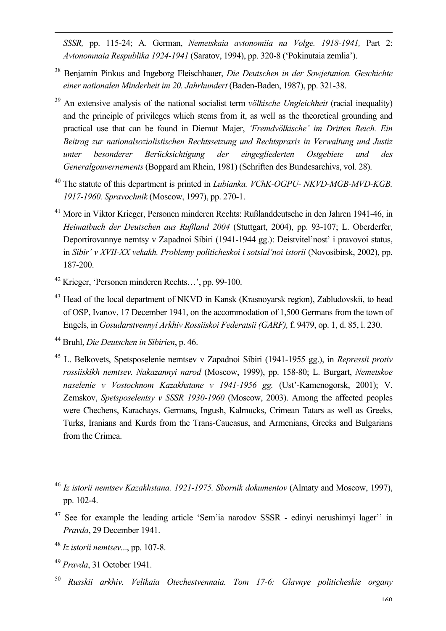*SSSR,* pp. 115-24; A. German, *Nemetskaia avtonomiia na Volge. 1918-1941,* Part 2: *Avtonomnaia Respublika 1924-1941* (Saratov, 1994), pp. 320-8 ('Pokinutaia zemlia').

- <sup>38</sup> Benjamin Pinkus and Ingeborg Fleischhauer, *Die Deutschen in der Sowjetunion. Geschichte einer nationalen Minderheit im 20. Jahrhundert* (Baden-Baden, 1987), pp. 321-38.
- <sup>39</sup> An extensive analysis of the national socialist term *völkische Ungleichheit* (racial inequality) and the principle of privileges which stems from it, as well as the theoretical grounding and practical use that can be found in Diemut Majer, *'Fremdvölkische' im Dritten Reich. Ein Beitrag zur nationalsozialistischen Rechtssetzung und Rechtspraxis in Verwaltung und Justiz unter besonderer Berücksichtigung der eingegliederten Ostgebiete und des Generalgouvernements* (Boppard am Rhein, 1981) (Schriften des Bundesarchivs, vol. 28).
- <sup>40</sup> The statute of this department is printed in *Lubianka. VChK-OGPU- NKVD-MGB-MVD-KGB. 1917-1960. Spravochnik* (Moscow, 1997), pp. 270-1.
- <sup>41</sup> More in Viktor Krieger, Personen minderen Rechts: Rußlanddeutsche in den Jahren 1941-46, in *Heimatbuch der Deutschen aus Rußland 2004* (Stuttgart, 2004), pp. 93-107; L. Oberderfer, Deportirovannye nemtsy v Zapadnoi Sibiri (1941-1944 gg.): Deistvitel'nost' i pravovoi status, in *Sibir' v XVII-XX vekakh. Problemy politicheskoi i sotsial'noi istorii* (Novosibirsk, 2002), pp. 187-200.
- <sup>42</sup> Krieger, 'Personen minderen Rechts…', pp. 99-100.
- <sup>43</sup> Head of the local department of NKVD in Kansk (Krasnoyarsk region), Zabludovskii, to head of OSP, Ivanov, 17 December 1941, on the accommodation of 1,500 Germans from the town of Engels, in *Gosudarstvennyi Arkhiv Rossiiskoi Federatsii (GARF),* f. 9479, op. 1, d. 85, l. 230.
- <sup>44</sup> Bruhl, *Die Deutschen in Sibirien*, p. 46.

- <sup>45</sup> L. Belkovets, Spetsposelenie nemtsev v Zapadnoi Sibiri (1941-1955 gg.), in *Repressii protiv rossiiskikh nemtsev. Nakazannyi narod* (Moscow, 1999), pp. 158-80; L. Burgart, *Nemetskoe naselenie v Vostochnom Kazakhstane v 1941-1956 gg.* (Ust'-Kamenogorsk, 2001); V. Zemskov, *Spetsposelentsy v SSSR 1930-1960* (Moscow, 2003). Among the affected peoples were Chechens, Karachays, Germans, Ingush, Kalmucks, Crimean Tatars as well as Greeks, Turks, Iranians and Kurds from the Trans-Caucasus, and Armenians, Greeks and Bulgarians from the Crimea.
- <sup>46</sup> *Iz istorii nemtsev Kazakhstana. 1921-1975. Sbornik dokumentov* (Almaty and Moscow, 1997), pp. 102-4.
- <sup>47</sup> See for example the leading article 'Sem'ia narodov SSSR edinyi nerushimyi lager'' in *Pravda*, 29 December 1941.
- <sup>48</sup> *Iz istorii nemtsev*..., pp. 107-8.
- <sup>49</sup> *Pravda*, 31 October 1941.
- <sup>50</sup> *Russkii arkhiv. Velikaia Otechestvennaia. Tom 17-6: Glavnye politicheskie organy*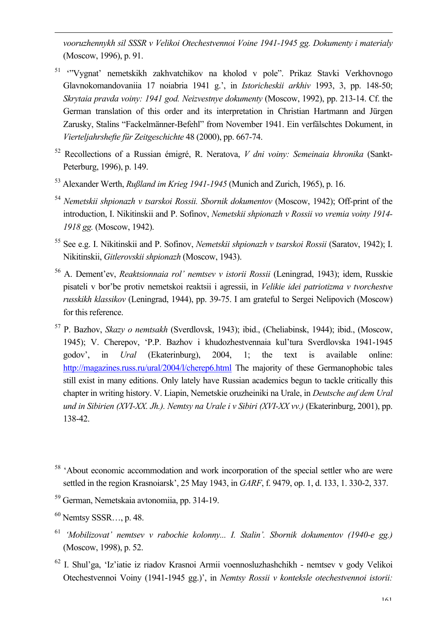*vooruzhennykh sil SSSR v Velikoi Otechestvennoi Voine 1941-1945 gg. Dokumenty i materialy* (Moscow, 1996), p. 91.

- <sup>51</sup> '"Vygnat' nemetskikh zakhvatchikov na kholod v pole". Prikaz Stavki Verkhovnogo Glavnokomandovaniia 17 noiabria 1941 g.', in *Istoricheskii arkhiv* 1993, 3, pp. 148-50; *Skrytaia pravda voiny: 1941 god. Neizvestnye dokumenty* (Moscow, 1992), pp. 213-14. Cf. the German translation of this order and its interpretation in Christian Hartmann and Jürgen Zarusky, Stalins "Fackelmänner-Befehl" from November 1941. Ein verfälschtes Dokument, in *Vierteljahrshefte für Zeitgeschichte* 48 (2000), pp. 667-74.
- <sup>52</sup> Recollections of a Russian émigré, R. Neratova, *V dni voiny: Semeinaia khronika* (Sankt-Peterburg, 1996), p. 149.
- <sup>53</sup> Alexander Werth, *Rußland im Krieg 1941-1945* (Munich and Zurich, 1965), p. 16.
- <sup>54</sup> *Nemetskii shpionazh v tsarskoi Rossii. Sbornik dokumentov* (Moscow, 1942); Off-print of the introduction, I. Nikitinskii and P. Sofinov, *Nemetskii shpionazh v Rossii vo vremia voiny 1914- 1918 gg.* (Moscow, 1942).
- <sup>55</sup> See e.g. I. Nikitinskii and P. Sofinov, *Nemetskii shpionazh v tsarskoi Rossii* (Saratov, 1942); I. Nikitinskii, *Gitlerovskii shpionazh* (Moscow, 1943).
- <sup>56</sup> A. Dement'ev, *Reaktsionnaia rol' nemtsev v istorii Rossii* (Leningrad, 1943); idem, Russkie pisateli v bor'be protiv nemetskoi reaktsii i agressii, in *Velikie idei patriotizma v tvorchestve russkikh klassikov* (Leningrad, 1944), pp. 39-75. I am grateful to Sergei Nelipovich (Moscow) for this reference.

<sup>57</sup> P. Bazhov, *Skazy o nemtsakh* (Sverdlovsk, 1943); ibid., (Cheliabinsk, 1944); ibid., (Moscow, 1945); V. Cherepov, 'P.P. Bazhov i khudozhestvennaia kul'tura Sverdlovska 1941-1945 godov', in *Ural* (Ekaterinburg), 2004, 1; the text is available online: http://magazines.russ.ru/ural/2004/l/cherep6.html The majority of these Germanophobic tales still exist in many editions. Only lately have Russian academics begun to tackle critically this chapter in writing history. V. Liapin, Nemetskie oruzheiniki na Urale, in *Deutsche auf dem Ural und in Sibirien (XVI-XX. Jh.). Nemtsy na Urale i v Sibiri (XVI-XX vv.)* (Ekaterinburg, 2001), pp. 138-42.

- <sup>58</sup> 'About economic accommodation and work incorporation of the special settler who are were settled in the region Krasnoiarsk', 25 May 1943, in *GARF*, f. 9479, op. 1, d. 133, 1. 330-2, 337.
- <sup>59</sup> German, Nemetskaia avtonomiia, pp. 314-19.

- <sup>61</sup> *'Mobilizovat' nemtsev v rabochie kolonny... I. Stalin'. Sbornik dokumentov (1940-e gg.)*  (Moscow, 1998), p. 52.
- <sup>62</sup> I. Shul'ga, 'Iz'iatie iz riadov Krasnoi Armii voennosluzhashchikh nemtsev v gody Velikoi Otechestvennoi Voiny (1941-1945 gg.)', in *Nemtsy Rossii v konteksle otechestvennoi istorii:*

 $60$  Nemtsy SSSR..., p. 48.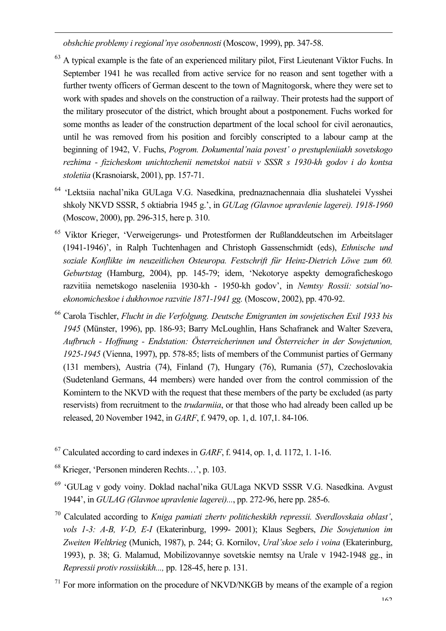*obshchie problemy i regional'nye osobennosti* (Moscow, 1999), pp. 347-58.

- <sup>63</sup> A typical example is the fate of an experienced military pilot, First Lieutenant Viktor Fuchs. In September 1941 he was recalled from active service for no reason and sent together with a further twenty officers of German descent to the town of Magnitogorsk, where they were set to work with spades and shovels on the construction of a railway. Their protests had the support of the military prosecutor of the district, which brought about a postponement. Fuchs worked for some months as leader of the construction department of the local school for civil aeronautics, until he was removed from his position and forcibly conscripted to a labour camp at the beginning of 1942, V. Fuchs, *Pogrom. Dokumental'naia povest' o prestupleniiakh sovetskogo rezhima - fizicheskom unichtozhenii nemetskoi natsii v SSSR s 1930-kh godov i do kontsa stoletiia* (Krasnoiarsk, 2001), pp. 157-71.
- <sup>64</sup> 'Lektsiia nachal'nika GULaga V.G. Nasedkina, prednaznachennaia dlia slushatelei Vysshei shkoly NKVD SSSR, 5 oktiabria 1945 g.', in *GULag (Glavnoe upravlenie lagerei). 1918-1960* (Moscow, 2000), pp. 296-315, here p. 310.
- <sup>65</sup> Viktor Krieger, 'Verweigerungs- und Protestformen der Rußlanddeutschen im Arbeitslager (1941-1946)', in Ralph Tuchtenhagen and Christoph Gassenschmidt (eds), *Ethnische und soziale Konflikte im neuzeitlichen Osteuropa. Festschrift für Heinz-Dietrich Löwe zum 60. Geburtstag* (Hamburg, 2004), pp. 145-79; idem, 'Nekotorye aspekty demograficheskogo razvitiia nemetskogo naseleniia 1930-kh - 1950-kh godov', in *Nemtsy Rossii: sotsial'noekonomicheskoe i dukhovnoe razvitie 1871-1941 gg.* (Moscow, 2002), pp. 470-92.
- <sup>66</sup> Carola Tischler, *Flucht in die Verfolgung. Deutsche Emigranten im sowjetischen Exil 1933 bis 1945* (Münster, 1996), pp. 186-93; Barry McLoughlin, Hans Schafranek and Walter Szevera, *Aufbruch - Hoffnung - Endstation: Österreicherinnen und Österreicher in der Sowjetunion, 1925-1945* (Vienna, 1997), pp. 578-85; lists of members of the Communist parties of Germany (131 members), Austria (74), Finland (7), Hungary (76), Rumania (57), Czechoslovakia (Sudetenland Germans, 44 members) were handed over from the control commission of the Komintern to the NKVD with the request that these members of the party be excluded (as party reservists) from recruitment to the *trudarmiia*, or that those who had already been called up be released, 20 November 1942, in *GARF*, f. 9479, op. 1, d. 107,1. 84-106.
- <sup>67</sup> Calculated according to card indexes in *GARF*, f. 9414, op. 1, d. 1172, 1. 1-16.

- <sup>69</sup> 'GULag v gody voiny. Doklad nachal'nika GULaga NKVD SSSR V.G. Nasedkina. Avgust 1944', in *GULAG (Glavnoe upravlenie lagerei)...*, pp. 272-96, here pp. 285-6.
- <sup>70</sup> Calculated according to *Kniga pamiati zhertv politicheskikh repressii. Sverdlovskaia oblast'*, *vols 1-3: A-B, V-D, E-I* (Ekaterinburg, 1999- 2001); Klaus Segbers, *Die Sowjetunion im Zweiten Weltkrieg* (Munich, 1987), p. 244; G. Kornilov, *Ural'skoe selo i voina* (Ekaterinburg, 1993), p. 38; G. Malamud, Mobilizovannye sovetskie nemtsy na Urale v 1942-1948 gg., in *Repressii protiv rossiiskikh...,* pp. 128-45, here p. 131.

<sup>68</sup> Krieger, 'Personen minderen Rechts…', p. 103.

 $71$  For more information on the procedure of NKVD/NKGB by means of the example of a region